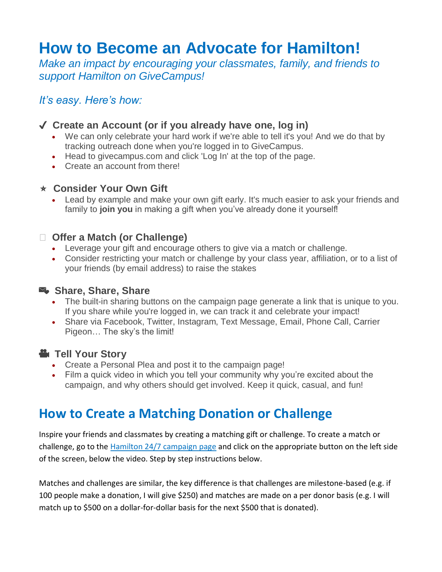# **How to Become an Advocate for Hamilton!**

*Make an impact by encouraging your classmates, family, and friends to support Hamilton on GiveCampus!*

#### *It's easy. Here's how:*

#### ✔️ **Create an Account (or if you already have one, log in)**

- We can only celebrate your hard work if we're able to tell it's you! And we do that by tracking outreach done when you're logged in to GiveCampus.
- Head to givecampus.com and click 'Log In' at the top of the page.
- Create an account from there!

#### ⭐️ **Consider Your Own Gift**

 Lead by example and make your own gift early. It's much easier to ask your friends and family to **join you** in making a gift when you've already done it yourself!

#### **Offer a Match (or Challenge)**

- Leverage your gift and encourage others to give via a match or challenge.
- Consider restricting your match or challenge by your class year, affiliation, or to a list of your friends (by email address) to raise the stakes

#### **Share, Share, Share**

- The built-in sharing buttons on the campaign page generate a link that is unique to you. If you share while you're logged in, we can track it and celebrate your impact!
- Share via Facebook, Twitter, Instagram, Text Message, Email, Phone Call, Carrier Pigeon… The sky's the limit!

### **E** Tell Your Story

- Create a Personal Plea and post it to the campaign page!
- Film a quick video in which you tell your community why you're excited about the campaign, and why others should get involved. Keep it quick, casual, and fun!

## **How to Create a Matching Donation or Challenge**

Inspire your friends and classmates by creating a matching gift or challenge. To create a match or challenge, go to the **Hamilton 24/7 campaign page and click on the appropriate button on the left side** of the screen, below the video. Step by step instructions below.

Matches and challenges are similar, the key difference is that challenges are milestone-based (e.g. if 100 people make a donation, I will give \$250) and matches are made on a per donor basis (e.g. I will match up to \$500 on a dollar-for-dollar basis for the next \$500 that is donated).